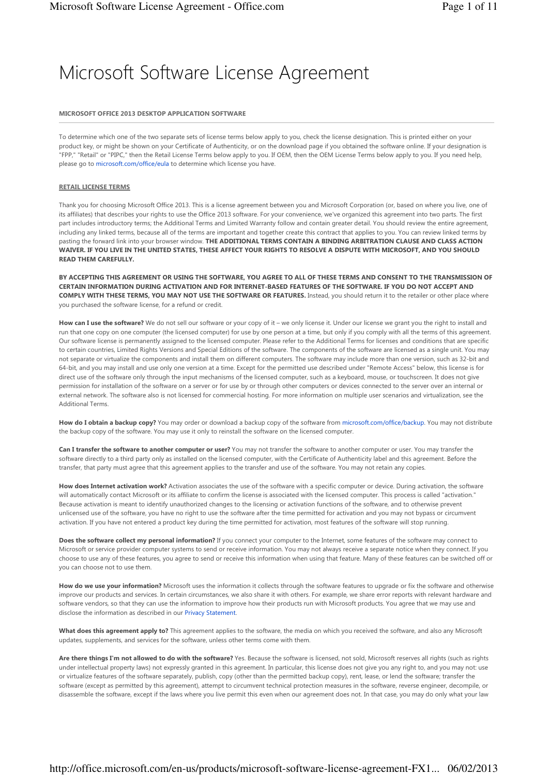# Microsoft Software License Agreement

## MICROSOFT OFFICE 2013 DESKTOP APPLICATION SOFTWARE

To determine which one of the two separate sets of license terms below apply to you, check the license designation. This is printed either on your product key, or might be shown on your Certificate of Authenticity, or on the download page if you obtained the software online. If your designation is "FPP," "Retail" or "PIPC," then the Retail License Terms below apply to you. If OEM, then the OEM License Terms below apply to you. If you need help, please go to microsoft.com/office/eula to determine which license you have.

## RETAIL LICENSE TERMS

Thank you for choosing Microsoft Office 2013. This is a license agreement between you and Microsoft Corporation (or, based on where you live, one of its affiliates) that describes your rights to use the Office 2013 software. For your convenience, we've organized this agreement into two parts. The first part includes introductory terms; the Additional Terms and Limited Warranty follow and contain greater detail. You should review the entire agreement, including any linked terms, because all of the terms are important and together create this contract that applies to you. You can review linked terms by pasting the forward link into your browser window. THE ADDITIONAL TERMS CONTAIN A BINDING ARBITRATION CLAUSE AND CLASS ACTION WAIVER. IF YOU LIVE IN THE UNITED STATES, THESE AFFECT YOUR RIGHTS TO RESOLVE A DISPUTE WITH MICROSOFT, AND YOU SHOULD READ THEM CAREFULLY.

BY ACCEPTING THIS AGREEMENT OR USING THE SOFTWARE, YOU AGREE TO ALL OF THESE TERMS AND CONSENT TO THE TRANSMISSION OF CERTAIN INFORMATION DURING ACTIVATION AND FOR INTERNET-BASED FEATURES OF THE SOFTWARE. IF YOU DO NOT ACCEPT AND COMPLY WITH THESE TERMS, YOU MAY NOT USE THE SOFTWARE OR FEATURES. Instead, you should return it to the retailer or other place where you purchased the software license, for a refund or credit.

How can I use the software? We do not sell our software or your copy of it – we only license it. Under our license we grant you the right to install and run that one copy on one computer (the licensed computer) for use by one person at a time, but only if you comply with all the terms of this agreement. Our software license is permanently assigned to the licensed computer. Please refer to the Additional Terms for licenses and conditions that are specific to certain countries, Limited Rights Versions and Special Editions of the software. The components of the software are licensed as a single unit. You may not separate or virtualize the components and install them on different computers. The software may include more than one version, such as 32-bit and 64-bit, and you may install and use only one version at a time. Except for the permitted use described under "Remote Access" below, this license is for direct use of the software only through the input mechanisms of the licensed computer, such as a keyboard, mouse, or touchscreen. It does not give permission for installation of the software on a server or for use by or through other computers or devices connected to the server over an internal or external network. The software also is not licensed for commercial hosting. For more information on multiple user scenarios and virtualization, see the Additional Terms.

How do I obtain a backup copy? You may order or download a backup copy of the software from microsoft.com/office/backup. You may not distribute the backup copy of the software. You may use it only to reinstall the software on the licensed computer.

Can I transfer the software to another computer or user? You may not transfer the software to another computer or user. You may transfer the software directly to a third party only as installed on the licensed computer, with the Certificate of Authenticity label and this agreement. Before the transfer, that party must agree that this agreement applies to the transfer and use of the software. You may not retain any copies.

How does Internet activation work? Activation associates the use of the software with a specific computer or device. During activation, the software will automatically contact Microsoft or its affiliate to confirm the license is associated with the licensed computer. This process is called "activation." Because activation is meant to identify unauthorized changes to the licensing or activation functions of the software, and to otherwise prevent unlicensed use of the software, you have no right to use the software after the time permitted for activation and you may not bypass or circumvent activation. If you have not entered a product key during the time permitted for activation, most features of the software will stop running.

Does the software collect my personal information? If you connect your computer to the Internet, some features of the software may connect to Microsoft or service provider computer systems to send or receive information. You may not always receive a separate notice when they connect. If you choose to use any of these features, you agree to send or receive this information when using that feature. Many of these features can be switched off or you can choose not to use them.

How do we use your information? Microsoft uses the information it collects through the software features to upgrade or fix the software and otherwise improve our products and services. In certain circumstances, we also share it with others. For example, we share error reports with relevant hardware and software vendors, so that they can use the information to improve how their products run with Microsoft products. You agree that we may use and disclose the information as described in our Privacy Statement.

What does this agreement apply to? This agreement applies to the software, the media on which you received the software, and also any Microsoft updates, supplements, and services for the software, unless other terms come with them.

Are there things I'm not allowed to do with the software? Yes. Because the software is licensed, not sold, Microsoft reserves all rights (such as rights under intellectual property laws) not expressly granted in this agreement. In particular, this license does not give you any right to, and you may not: use or virtualize features of the software separately, publish, copy (other than the permitted backup copy), rent, lease, or lend the software; transfer the software (except as permitted by this agreement), attempt to circumvent technical protection measures in the software, reverse engineer, decompile, or disassemble the software, except if the laws where you live permit this even when our agreement does not. In that case, you may do only what your law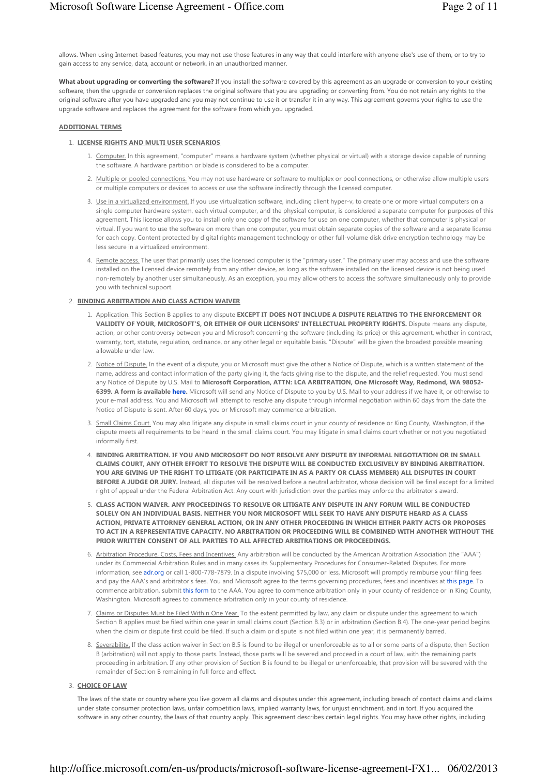allows. When using Internet-based features, you may not use those features in any way that could interfere with anyone else's use of them, or to try to gain access to any service, data, account or network, in an unauthorized manner.

What about upgrading or converting the software? If you install the software covered by this agreement as an upgrade or conversion to your existing software, then the upgrade or conversion replaces the original software that you are upgrading or converting from. You do not retain any rights to the original software after you have upgraded and you may not continue to use it or transfer it in any way. This agreement governs your rights to use the upgrade software and replaces the agreement for the software from which you upgraded.

### ADDITIONAL TERMS

#### 1. LICENSE RIGHTS AND MULTI USER SCENARIOS

- 1. Computer, In this agreement, "computer" means a hardware system (whether physical or virtual) with a storage device capable of running the software. A hardware partition or blade is considered to be a computer.
- 2. Multiple or pooled connections. You may not use hardware or software to multiplex or pool connections, or otherwise allow multiple users or multiple computers or devices to access or use the software indirectly through the licensed computer.
- 3. <u>Use in a virtualized environment.</u> If you use virtualization software, including client hyper-v, to create one or more virtual computers on a single computer hardware system, each virtual computer, and the physical computer, is considered a separate computer for purposes of this agreement. This license allows you to install only one copy of the software for use on one computer, whether that computer is physical or virtual. If you want to use the software on more than one computer, you must obtain separate copies of the software and a separate license for each copy. Content protected by digital rights management technology or other full-volume disk drive encryption technology may be less secure in a virtualized environment.
- 4. Remote access. The user that primarily uses the licensed computer is the "primary user." The primary user may access and use the software installed on the licensed device remotely from any other device, as long as the software installed on the licensed device is not being used non-remotely by another user simultaneously. As an exception, you may allow others to access the software simultaneously only to provide you with technical support.

#### 2. BINDING ARBITRATION AND CLASS ACTION WAIVER

- 1. <u>Application.</u> This Section B applies to any dispute **EXCEPT IT DOES NOT INCLUDE A DISPUTE RELATING TO THE ENFORCEMENT OR** VALIDITY OF YOUR, MICROSOFT'S, OR EITHER OF OUR LICENSORS' INTELLECTUAL PROPERTY RIGHTS. Dispute means any dispute, action, or other controversy between you and Microsoft concerning the software (including its price) or this agreement, whether in contract, warranty, tort, statute, regulation, ordinance, or any other legal or equitable basis. "Dispute" will be given the broadest possible meaning allowable under law.
- 2. <u>Notice of Dispute.</u> In the event of a dispute, you or Microsoft must give the other a Notice of Dispute, which is a written statement of the name, address and contact information of the party giving it, the facts giving rise to the dispute, and the relief requested. You must send any Notice of Dispute by U.S. Mail to Microsoft Corporation, ATTN: LCA ARBITRATION, One Microsoft Way, Redmond, WA 98052-6399. A form is available here. Microsoft will send any Notice of Dispute to you by U.S. Mail to your address if we have it, or otherwise to your e-mail address. You and Microsoft will attempt to resolve any dispute through informal negotiation within 60 days from the date the Notice of Dispute is sent. After 60 days, you or Microsoft may commence arbitration.
- Small Claims Court. You may also litigate any dispute in small claims court in your county of residence or King County, Washington, if the dispute meets all requirements to be heard in the small claims court. You may litigate in small claims court whether or not you negotiated informally first. 3.
- 4. BINDING ARBITRATION. IF YOU AND MICROSOFT DO NOT RESOLVE ANY DISPUTE BY INFORMAL NEGOTIATION OR IN SMALL CLAIMS COURT, ANY OTHER EFFORT TO RESOLVE THE DISPUTE WILL BE CONDUCTED EXCLUSIVELY BY BINDING ARBITRATION. YOU ARE GIVING UP THE RIGHT TO LITIGATE (OR PARTICIPATE IN AS A PARTY OR CLASS MEMBER) ALL DISPUTES IN COURT BEFORE A JUDGE OR JURY. Instead, all disputes will be resolved before a neutral arbitrator, whose decision will be final except for a limited right of appeal under the Federal Arbitration Act. Any court with jurisdiction over the parties may enforce the arbitrator's award.
- CLASS ACTION WAIVER. ANY PROCEEDINGS TO RESOLVE OR LITIGATE ANY DISPUTE IN ANY FORUM WILL BE CONDUCTED 5. SOLELY ON AN INDIVIDUAL BASIS. NEITHER YOU NOR MICROSOFT WILL SEEK TO HAVE ANY DISPUTE HEARD AS A CLASS ACTION, PRIVATE ATTORNEY GENERAL ACTION, OR IN ANY OTHER PROCEEDING IN WHICH EITHER PARTY ACTS OR PROPOSES TO ACT IN A REPRESENTATIVE CAPACITY. NO ARBITRATION OR PROCEEDING WILL BE COMBINED WITH ANOTHER WITHOUT THE PRIOR WRITTEN CONSENT OF ALL PARTIES TO ALL AFFECTED ARBITRATIONS OR PROCEEDINGS.
- 6. Arbitration Procedure, Costs, Fees and Incentives. Any arbitration will be conducted by the American Arbitration Association (the "AAA") under its Commercial Arbitration Rules and in many cases its Supplementary Procedures for Consumer-Related Disputes. For more information, see adr.org or call 1-800-778-7879. In a dispute involving \$75,000 or less, Microsoft will promptly reimburse your filing fees and pay the AAA's and arbitrator's fees. You and Microsoft agree to the terms governing procedures, fees and incentives at this page. To commence arbitration, submit this form to the AAA. You agree to commence arbitration only in your county of residence or in King County, Washington. Microsoft agrees to commence arbitration only in your county of residence.
- 7. Claims or Disputes Must be Filed Within One Year. To the extent permitted by law, any claim or dispute under this agreement to which Section B applies must be filed within one year in small claims court (Section B.3) or in arbitration (Section B.4). The one-year period begins when the claim or dispute first could be filed. If such a claim or dispute is not filed within one year, it is permanently barred.
- 8. Severability. If the class action waiver in Section B.5 is found to be illegal or unenforceable as to all or some parts of a dispute, then Section B (arbitration) will not apply to those parts. Instead, those parts will be severed and proceed in a court of law, with the remaining parts proceeding in arbitration. If any other provision of Section B is found to be illegal or unenforceable, that provision will be severed with the remainder of Section B remaining in full force and effect.

#### 3. CHOICE OF LAW

The laws of the state or country where you live govern all claims and disputes under this agreement, including breach of contact claims and claims under state consumer protection laws, unfair competition laws, implied warranty laws, for unjust enrichment, and in tort. If you acquired the software in any other country, the laws of that country apply. This agreement describes certain legal rights. You may have other rights, including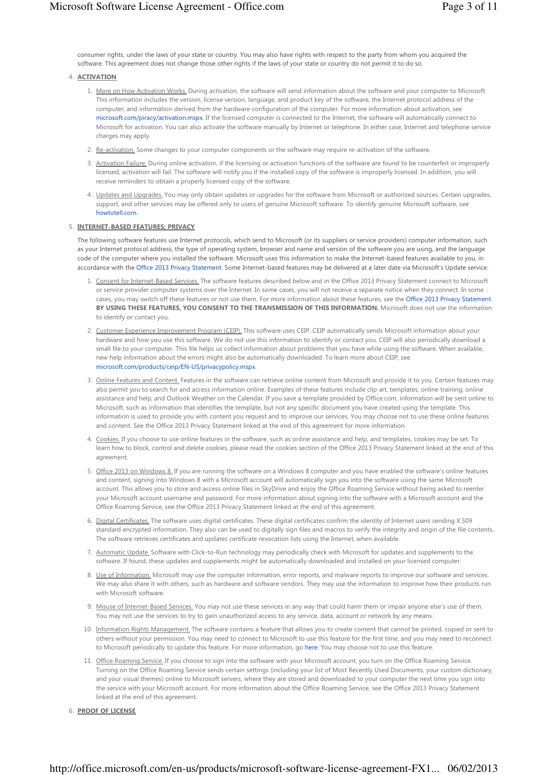consumer rights, under the laws of your state or country. You may also have rights with respect to the party from whom you acquired the software. This agreement does not change those other rights if the laws of your state or country do not permit it to do so.

# 4. ACTIVATION

- 1. More on How Activation Works. During activation, the software will send information about the software and your computer to Microsoft. This information includes the version, license version, language, and product key of the software, the Internet protocol address of the computer, and information derived from the hardware configuration of the computer. For more information about activation, see microsoft.com/piracy/activation.mspx. If the licensed computer is connected to the Internet, the software will automatically connect to Microsoft for activation. You can also activate the software manually by Internet or telephone. In either case, Internet and telephone service charges may apply.
- 2. Re-activation. Some changes to your computer components or the software may require re-activation of the software.
- 3. Activation Failure. During online activation, if the licensing or activation functions of the software are found to be counterfeit or improperly licensed, activation will fail. The software will notify you if the installed copy of the software is improperly licensed. In addition, you will receive reminders to obtain a properly licensed copy of the software.
- 4. Updates and Upgrades, You may only obtain updates or upgrades for the software from Microsoft or authorized sources. Certain upgrades, support, and other services may be offered only to users of genuine Microsoft software. To identify genuine Microsoft software, see howtotell.com.

#### 5. INTERNET-BASED FEATURES; PRIVACY

The following software features use Internet protocols, which send to Microsoft (or its suppliers or service providers) computer information, such as your Internet protocol address, the type of operating system, browser and name and version of the software you are using, and the language code of the computer where you installed the software. Microsoft uses this information to make the Internet-based features available to you, in accordance with the Office 2013 Privacy Statement. Some Internet-based features may be delivered at a later date via Microsoft's Update service.

- 1. Consent for Internet-Based Services. The software features described below and in the Office 2013 Privacy Statement connect to Microsoft or service provider computer systems over the Internet. In some cases, you will not receive a separate notice when they connect. In some cases, you may switch off these features or not use them. For more information about these features, see the Office 2013 Privacy Statement. BY USING THESE FEATURES, YOU CONSENT TO THE TRANSMISSION OF THIS INFORMATION. Microsoft does not use the information to identify or contact you.
- 2. Customer Experience Improvement Program (CEIP). This software uses CEIP. CEIP automatically sends Microsoft information about your hardware and how you use this software. We do not use this information to identify or contact you. CEIP will also periodically download a small file to your computer. This file helps us collect information about problems that you have while using the software. When available, new help information about the errors might also be automatically downloaded. To learn more about CEIP, see microsoft.com/products/ceip/EN-US/privacypolicy.mspx.
- 3. <u>Online Features and Content.</u> Features in the software can retrieve online content from Microsoft and provide it to you. Certain features may also permit you to search for and access information online. Examples of these features include clip art, templates, online training, online assistance and help, and Outlook Weather on the Calendar. If you save a template provided by Office.com, information will be sent online to Microsoft, such as information that identifies the template, but not any specific document you have created using the template. This information is used to provide you with content you request and to improve our services. You may choose not to use these online features and content. See the Office 2013 Privacy Statement linked at the end of this agreement for more information.
- 4. Cookies. If you choose to use online features in the software, such as online assistance and help, and templates, cookies may be set. To learn how to block, control and delete cookies, please read the cookies section of the Office 2013 Privacy Statement linked at the end of this agreement.
- 5. Office 2013 on Windows 8. If you are running the software on a Windows 8 computer and you have enabled the software's online features and content, signing into Windows 8 with a Microsoft account will automatically sign you into the software using the same Microsoft account. This allows you to store and access online files in SkyDrive and enjoy the Office Roaming Service without being asked to reenter your Microsoft account username and password. For more information about signing into the software with a Microsoft account and the Office Roaming Service, see the Office 2013 Privacy Statement linked at the end of this agreement.
- 6. Digital Certificates, The software uses digital certificates. These digital certificates confirm the identity of Internet users sending X.509 standard encrypted information. They also can be used to digitally sign files and macros to verify the integrity and origin of the file contents. The software retrieves certificates and updates certificate revocation lists using the Internet, when available.
- 7. Automatic Update, Software with Click-to-Run technology may periodically check with Microsoft for updates and supplements to the software. If found, these updates and supplements might be automatically downloaded and installed on your licensed computer.
- 8. Use of Information. Microsoft may use the computer information, error reports, and malware reports to improve our software and services. We may also share it with others, such as hardware and software vendors. They may use the information to improve how their products run with Microsoft software.
- 9. Misuse of Internet-Based Services. You may not use these services in any way that could harm them or impair anyone else's use of them. You may not use the services to try to gain unauthorized access to any service, data, account or network by any means.
- 10. Information Rights Management. The software contains a feature that allows you to create content that cannot be printed, copied or sent to others without your permission. You may need to connect to Microsoft to use this feature for the first time, and you may need to reconnect to Microsoft periodically to update this feature. For more information, go here. You may choose not to use this feature.
- 11. <u>Office Roaming Service.</u> If you choose to sign into the software with your Microsoft account, you turn on the Office Roaming Service. Turning on the Office Roaming Service sends certain settings (including your list of Most Recently Used Documents, your custom dictionary, and your visual themes) online to Microsoft servers, where they are stored and downloaded to your computer the next time you sign into the service with your Microsoft account. For more information about the Office Roaming Service, see the Office 2013 Privacy Statement linked at the end of this agreement.
- 6. PROOF OF LICENSE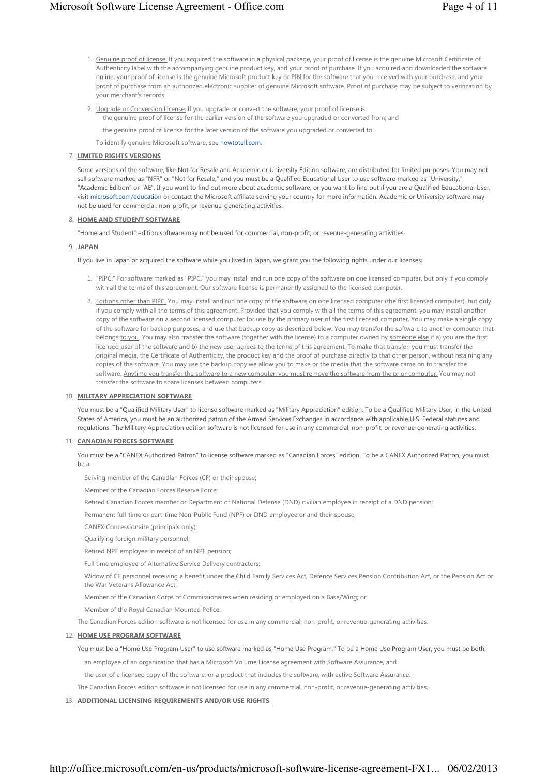- 1. Genuine proof of license. If you acquired the software in a physical package, your proof of license is the genuine Microsoft Certificate of Authenticity label with the accompanying genuine product key, and your proof of purchase. If you acquired and downloaded the software online, your proof of license is the genuine Microsoft product key or PIN for the software that you received with your purchase, and your proof of purchase from an authorized electronic supplier of genuine Microsoft software. Proof of purchase may be subject to verification by your merchant's records.
- 2. Upgrade or Conversion License. If you upgrade or convert the software, your proof of license is the genuine proof of license for the earlier version of the software you upgraded or converted from; and
	- the genuine proof of license for the later version of the software you upgraded or converted to.

To identify genuine Microsoft software, see howtotell.com.

## 7. LIMITED RIGHTS VERSIONS

Some versions of the software, like Not for Resale and Academic or University Edition software, are distributed for limited purposes. You may not sell software marked as "NFR" or "Not for Resale," and you must be a Qualified Educational User to use software marked as "University," "Academic Edition" or "AE". If you want to find out more about academic software, or you want to find out if you are a Qualified Educational User, visit microsoft.com/education or contact the Microsoft affiliate serving your country for more information. Academic or University software may not be used for commercial, non-profit, or revenue-generating activities.

#### 8. HOME AND STUDENT SOFTWARE

"Home and Student" edition software may not be used for commercial, non-profit, or revenue-generating activities.

#### 9. JAPAN

If you live in Japan or acquired the software while you lived in Japan, we grant you the following rights under our licenses:

- 1. <u>"PIPC."</u> For software marked as "PIPC," you may install and run one copy of the software on one licensed computer, but only if you comply with all the terms of this agreement. Our software license is permanently assigned to the licensed computer.
- 2. Editions other than PIPC. You may install and run one copy of the software on one licensed computer (the first licensed computer), but only if you comply with all the terms of this agreement. Provided that you comply with all the terms of this agreement, you may install another copy of the software on a second licensed computer for use by the primary user of the first licensed computer. You may make a single copy of the software for backup purposes, and use that backup copy as described below. You may transfer the software to another computer that belongs to you. You may also transfer the software (together with the license) to a computer owned by someone else if a) you are the first licensed user of the software and b) the new user agrees to the terms of this agreement. To make that transfer, you must transfer the original media, the Certificate of Authenticity, the product key and the proof of purchase directly to that other person, without retaining any copies of the software. You may use the backup copy we allow you to make or the media that the software came on to transfer the software. Anytime you transfer the software to a new computer, you must remove the software from the prior computer. You may not transfer the software to share licenses between computers.

#### 10. MILITARY APPRECIATION SOFTWARE

You must be a "Qualified Military User" to license software marked as "Military Appreciation" edition. To be a Qualified Military User, in the United States of America, you must be an authorized patron of the Armed Services Exchanges in accordance with applicable U.S. Federal statutes and regulations. The Military Appreciation edition software is not licensed for use in any commercial, non-profit, or revenue-generating activities.

#### 11. CANADIAN FORCES SOFTWARE

You must be a "CANEX Authorized Patron" to license software marked as "Canadian Forces" edition. To be a CANEX Authorized Patron, you must be a

Serving member of the Canadian Forces (CF) or their spouse;

Member of the Canadian Forces Reserve Force;

Retired Canadian Forces member or Department of National Defense (DND) civilian employee in receipt of a DND pension;

Permanent full-time or part-time Non-Public Fund (NPF) or DND employee or and their spouse;

CANEX Concessionaire (principals only);

Qualifying foreign military personnel;

Retired NPF employee in receipt of an NPF pension;

Full time employee of Alternative Service Delivery contractors;

Widow of CF personnel receiving a benefit under the Child Family Services Act, Defence Services Pension Contribution Act, or the Pension Act or the War Veterans Allowance Act;

Member of the Canadian Corps of Commissionaires when residing or employed on a Base/Wing; or

Member of the Royal Canadian Mounted Police.

The Canadian Forces edition software is not licensed for use in any commercial, non-profit, or revenue-generating activities.

#### 12. HOME USE PROGRAM SOFTWARE

You must be a "Home Use Program User" to use software marked as "Home Use Program." To be a Home Use Program User, you must be both:

an employee of an organization that has a Microsoft Volume License agreement with Software Assurance, and

the user of a licensed copy of the software, or a product that includes the software, with active Software Assurance.

The Canadian Forces edition software is not licensed for use in any commercial, non-profit, or revenue-generating activities.

# 13. ADDITIONAL LICENSING REQUIREMENTS AND/OR USE RIGHTS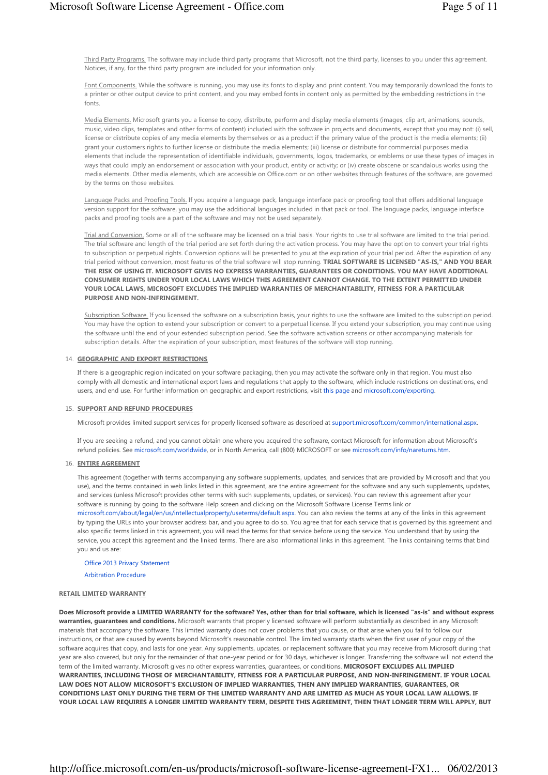Third Party Programs. The software may include third party programs that Microsoft, not the third party, licenses to you under this agreement. Notices, if any, for the third party program are included for your information only.

Font Components. While the software is running, you may use its fonts to display and print content. You may temporarily download the fonts to a printer or other output device to print content, and you may embed fonts in content only as permitted by the embedding restrictions in the fonts.

Media Elements. Microsoft grants you a license to copy, distribute, perform and display media elements (images, clip art, animations, sounds, music, video clips, templates and other forms of content) included with the software in projects and documents, except that you may not: (i) sell, license or distribute copies of any media elements by themselves or as a product if the primary value of the product is the media elements; (ii) grant your customers rights to further license or distribute the media elements; (iii) license or distribute for commercial purposes media elements that include the representation of identifiable individuals, governments, logos, trademarks, or emblems or use these types of images in ways that could imply an endorsement or association with your product, entity or activity; or (iv) create obscene or scandalous works using the media elements. Other media elements, which are accessible on Office.com or on other websites through features of the software, are governed by the terms on those websites.

Language Packs and Proofing Tools. If you acquire a language pack, language interface pack or proofing tool that offers additional language version support for the software, you may use the additional languages included in that pack or tool. The language packs, language interface packs and proofing tools are a part of the software and may not be used separately.

Trial and Conversion. Some or all of the software may be licensed on a trial basis. Your rights to use trial software are limited to the trial period. The trial software and length of the trial period are set forth during the activation process. You may have the option to convert your trial rights to subscription or perpetual rights. Conversion options will be presented to you at the expiration of your trial period. After the expiration of any trial period without conversion, most features of the trial software will stop running. TRIAL SOFTWARE IS LICENSED "AS-IS," AND YOU BEAR THE RISK OF USING IT. MICROSOFT GIVES NO EXPRESS WARRANTIES, GUARANTEES OR CONDITIONS. YOU MAY HAVE ADDITIONAL CONSUMER RIGHTS UNDER YOUR LOCAL LAWS WHICH THIS AGREEMENT CANNOT CHANGE. TO THE EXTENT PERMITTED UNDER YOUR LOCAL LAWS, MICROSOFT EXCLUDES THE IMPLIED WARRANTIES OF MERCHANTABILITY, FITNESS FOR A PARTICULAR PURPOSE AND NON-INFRINGEMENT.

Subscription Software. If you licensed the software on a subscription basis, your rights to use the software are limited to the subscription period. You may have the option to extend your subscription or convert to a perpetual license. If you extend your subscription, you may continue using the software until the end of your extended subscription period. See the software activation screens or other accompanying materials for subscription details. After the expiration of your subscription, most features of the software will stop running.

## 14. GEOGRAPHIC AND EXPORT RESTRICTIONS

If there is a geographic region indicated on your software packaging, then you may activate the software only in that region. You must also comply with all domestic and international export laws and regulations that apply to the software, which include restrictions on destinations, end users, and end use. For further information on geographic and export restrictions, visit this page and microsoft.com/exporting.

#### 15. SUPPORT AND REFUND PROCEDURES

Microsoft provides limited support services for properly licensed software as described at support.microsoft.com/common/international.aspx.

If you are seeking a refund, and you cannot obtain one where you acquired the software, contact Microsoft for information about Microsoft's refund policies. See microsoft.com/worldwide, or in North America, call (800) MICROSOFT or see microsoft.com/info/nareturns.htm.

## 16. ENTIRE AGREEMENT

This agreement (together with terms accompanying any software supplements, updates, and services that are provided by Microsoft and that you use), and the terms contained in web links listed in this agreement, are the entire agreement for the software and any such supplements, updates, and services (unless Microsoft provides other terms with such supplements, updates, or services). You can review this agreement after your software is running by going to the software Help screen and clicking on the Microsoft Software License Terms link or microsoft.com/about/legal/en/us/intellectualproperty/useterms/default.aspx. You can also review the terms at any of the links in this agreement by typing the URLs into your browser address bar, and you agree to do so. You agree that for each service that is governed by this agreement and also specific terms linked in this agreement, you will read the terms for that service before using the service. You understand that by using the service, you accept this agreement and the linked terms. There are also informational links in this agreement. The links containing terms that bind you and us are:

Office 2013 Privacy Statement

Arbitration Procedure

#### RETAIL LIMITED WARRANTY

Does Microsoft provide a LIMITED WARRANTY for the software? Yes, other than for trial software, which is licensed "as-is" and without express warranties, guarantees and conditions. Microsoft warrants that properly licensed software will perform substantially as described in any Microsoft materials that accompany the software. This limited warranty does not cover problems that you cause, or that arise when you fail to follow our instructions, or that are caused by events beyond Microsoft's reasonable control. The limited warranty starts when the first user of your copy of the software acquires that copy, and lasts for one year. Any supplements, updates, or replacement software that you may receive from Microsoft during that year are also covered, but only for the remainder of that one-year period or for 30 days, whichever is longer. Transferring the software will not extend the term of the limited warranty. Microsoft gives no other express warranties, guarantees, or conditions. MICROSOFT EXCLUDES ALL IMPLIED WARRANTIES, INCLUDING THOSE OF MERCHANTABILITY, FITNESS FOR A PARTICULAR PURPOSE, AND NON-INFRINGEMENT. IF YOUR LOCAL LAW DOES NOT ALLOW MICROSOFT'S EXCLUSION OF IMPLIED WARRANTIES, THEN ANY IMPLIED WARRANTIES, GUARANTEES, OR CONDITIONS LAST ONLY DURING THE TERM OF THE LIMITED WARRANTY AND ARE LIMITED AS MUCH AS YOUR LOCAL LAW ALLOWS. IF YOUR LOCAL LAW REQUIRES A LONGER LIMITED WARRANTY TERM, DESPITE THIS AGREEMENT, THEN THAT LONGER TERM WILL APPLY, BUT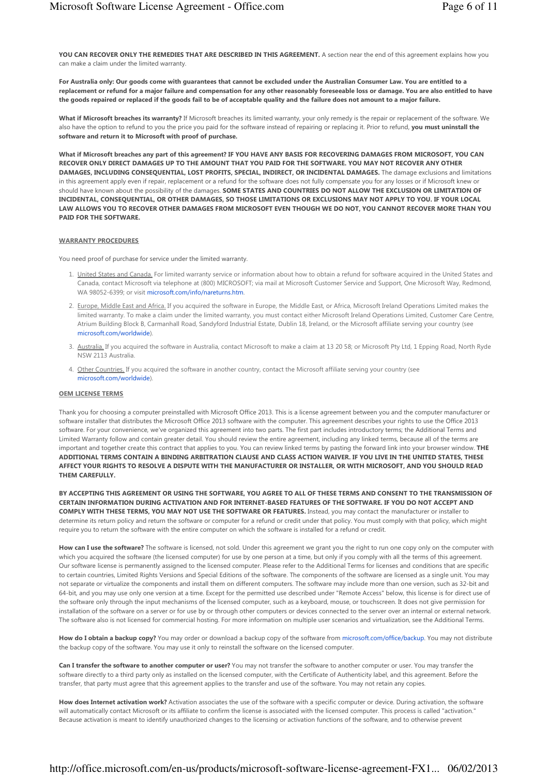YOU CAN RECOVER ONLY THE REMEDIES THAT ARE DESCRIBED IN THIS AGREEMENT. A section near the end of this agreement explains how you can make a claim under the limited warranty.

For Australia only: Our goods come with guarantees that cannot be excluded under the Australian Consumer Law. You are entitled to a replacement or refund for a major failure and compensation for any other reasonably foreseeable loss or damage. You are also entitled to have the goods repaired or replaced if the goods fail to be of acceptable quality and the failure does not amount to a major failure.

What if Microsoft breaches its warranty? If Microsoft breaches its limited warranty, your only remedy is the repair or replacement of the software. We also have the option to refund to you the price you paid for the software instead of repairing or replacing it. Prior to refund, you must uninstall the software and return it to Microsoft with proof of purchase.

What if Microsoft breaches any part of this agreement? IF YOU HAVE ANY BASIS FOR RECOVERING DAMAGES FROM MICROSOFT, YOU CAN RECOVER ONLY DIRECT DAMAGES UP TO THE AMOUNT THAT YOU PAID FOR THE SOFTWARE. YOU MAY NOT RECOVER ANY OTHER DAMAGES, INCLUDING CONSEQUENTIAL, LOST PROFITS, SPECIAL, INDIRECT, OR INCIDENTAL DAMAGES. The damage exclusions and limitations in this agreement apply even if repair, replacement or a refund for the software does not fully compensate you for any losses or if Microsoft knew or should have known about the possibility of the damages. SOME STATES AND COUNTRIES DO NOT ALLOW THE EXCLUSION OR LIMITATION OF INCIDENTAL, CONSEQUENTIAL, OR OTHER DAMAGES, SO THOSE LIMITATIONS OR EXCLUSIONS MAY NOT APPLY TO YOU. IF YOUR LOCAL LAW ALLOWS YOU TO RECOVER OTHER DAMAGES FROM MICROSOFT EVEN THOUGH WE DO NOT, YOU CANNOT RECOVER MORE THAN YOU PAID FOR THE SOFTWARE.

#### WARRANTY PROCEDURES

You need proof of purchase for service under the limited warranty.

- 1. United States and Canada. For limited warranty service or information about how to obtain a refund for software acquired in the United States and Canada, contact Microsoft via telephone at (800) MICROSOFT; via mail at Microsoft Customer Service and Support, One Microsoft Way, Redmond, WA 98052-6399; or visit microsoft.com/info/nareturns.htm.
- 2. Europe, Middle East and Africa. If you acquired the software in Europe, the Middle East, or Africa, Microsoft Ireland Operations Limited makes the limited warranty. To make a claim under the limited warranty, you must contact either Microsoft Ireland Operations Limited, Customer Care Centre, Atrium Building Block B, Carmanhall Road, Sandyford Industrial Estate, Dublin 18, Ireland, or the Microsoft affiliate serving your country (see microsoft.com/worldwide).
- 3. <u>Australia.</u> If you acquired the software in Australia, contact Microsoft to make a claim at 13 20 58; or Microsoft Pty Ltd, 1 Epping Road, North Ryde NSW 2113 Australia.
- 4. Other Countries. If you acquired the software in another country, contact the Microsoft affiliate serving your country (see microsoft.com/worldwide).

#### OEM LICENSE TERMS

Thank you for choosing a computer preinstalled with Microsoft Office 2013. This is a license agreement between you and the computer manufacturer or software installer that distributes the Microsoft Office 2013 software with the computer. This agreement describes your rights to use the Office 2013 software. For your convenience, we've organized this agreement into two parts. The first part includes introductory terms; the Additional Terms and Limited Warranty follow and contain greater detail. You should review the entire agreement, including any linked terms, because all of the terms are important and together create this contract that applies to you. You can review linked terms by pasting the forward link into your browser window. THE ADDITIONAL TERMS CONTAIN A BINDING ARBITRATION CLAUSE AND CLASS ACTION WAIVER. IF YOU LIVE IN THE UNITED STATES, THESE AFFECT YOUR RIGHTS TO RESOLVE A DISPUTE WITH THE MANUFACTURER OR INSTALLER, OR WITH MICROSOFT, AND YOU SHOULD READ THEM CAREFULLY.

BY ACCEPTING THIS AGREEMENT OR USING THE SOFTWARE, YOU AGREE TO ALL OF THESE TERMS AND CONSENT TO THE TRANSMISSION OF CERTAIN INFORMATION DURING ACTIVATION AND FOR INTERNET-BASED FEATURES OF THE SOFTWARE. IF YOU DO NOT ACCEPT AND COMPLY WITH THESE TERMS, YOU MAY NOT USE THE SOFTWARE OR FEATURES. Instead, you may contact the manufacturer or installer to determine its return policy and return the software or computer for a refund or credit under that policy. You must comply with that policy, which might require you to return the software with the entire computer on which the software is installed for a refund or credit.

How can I use the software? The software is licensed, not sold. Under this agreement we grant you the right to run one copy only on the computer with which you acquired the software (the licensed computer) for use by one person at a time, but only if you comply with all the terms of this agreement. Our software license is permanently assigned to the licensed computer. Please refer to the Additional Terms for licenses and conditions that are specific to certain countries, Limited Rights Versions and Special Editions of the software. The components of the software are licensed as a single unit. You may not separate or virtualize the components and install them on different computers. The software may include more than one version, such as 32-bit and 64-bit, and you may use only one version at a time. Except for the permitted use described under "Remote Access" below, this license is for direct use of the software only through the input mechanisms of the licensed computer, such as a keyboard, mouse, or touchscreen. It does not give permission for installation of the software on a server or for use by or through other computers or devices connected to the server over an internal or external network. The software also is not licensed for commercial hosting. For more information on multiple user scenarios and virtualization, see the Additional Terms.

How do I obtain a backup copy? You may order or download a backup copy of the software from microsoft.com/office/backup. You may not distribute the backup copy of the software. You may use it only to reinstall the software on the licensed computer.

Can I transfer the software to another computer or user? You may not transfer the software to another computer or user. You may transfer the software directly to a third party only as installed on the licensed computer, with the Certificate of Authenticity label, and this agreement. Before the transfer, that party must agree that this agreement applies to the transfer and use of the software. You may not retain any copies.

How does Internet activation work? Activation associates the use of the software with a specific computer or device. During activation, the software will automatically contact Microsoft or its affiliate to confirm the license is associated with the licensed computer. This process is called "activation." Because activation is meant to identify unauthorized changes to the licensing or activation functions of the software, and to otherwise prevent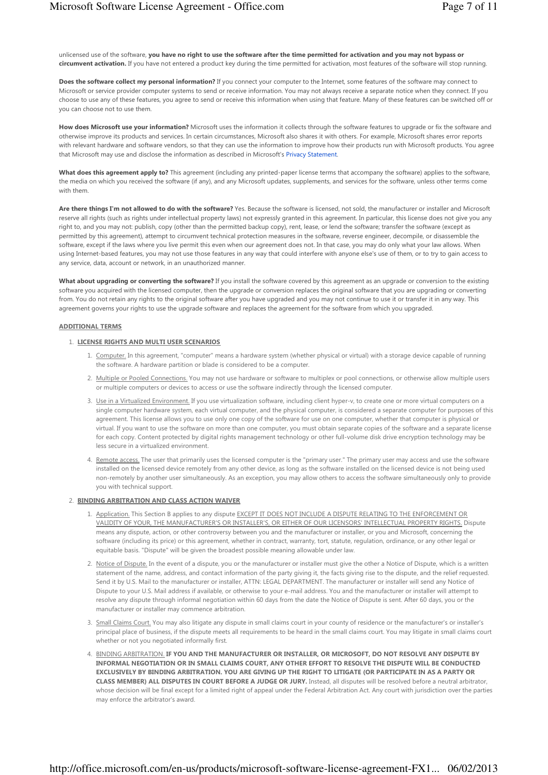unlicensed use of the software, you have no right to use the software after the time permitted for activation and you may not bypass or circumvent activation. If you have not entered a product key during the time permitted for activation, most features of the software will stop running.

Does the software collect my personal information? If you connect your computer to the Internet, some features of the software may connect to Microsoft or service provider computer systems to send or receive information. You may not always receive a separate notice when they connect. If you choose to use any of these features, you agree to send or receive this information when using that feature. Many of these features can be switched off or you can choose not to use them.

How does Microsoft use your information? Microsoft uses the information it collects through the software features to upgrade or fix the software and otherwise improve its products and services. In certain circumstances, Microsoft also shares it with others. For example, Microsoft shares error reports with relevant hardware and software vendors, so that they can use the information to improve how their products run with Microsoft products. You agree that Microsoft may use and disclose the information as described in Microsoft's Privacy Statement.

What does this agreement apply to? This agreement (including any printed-paper license terms that accompany the software) applies to the software, the media on which you received the software (if any), and any Microsoft updates, supplements, and services for the software, unless other terms come with them.

Are there things I'm not allowed to do with the software? Yes. Because the software is licensed, not sold, the manufacturer or installer and Microsoft reserve all rights (such as rights under intellectual property laws) not expressly granted in this agreement. In particular, this license does not give you any right to, and you may not: publish, copy (other than the permitted backup copy), rent, lease, or lend the software; transfer the software (except as permitted by this agreement), attempt to circumvent technical protection measures in the software, reverse engineer, decompile, or disassemble the software, except if the laws where you live permit this even when our agreement does not. In that case, you may do only what your law allows. When using Internet-based features, you may not use those features in any way that could interfere with anyone else's use of them, or to try to gain access to any service, data, account or network, in an unauthorized manner.

What about upgrading or converting the software? If you install the software covered by this agreement as an upgrade or conversion to the existing software you acquired with the licensed computer, then the upgrade or conversion replaces the original software that you are upgrading or converting from. You do not retain any rights to the original software after you have upgraded and you may not continue to use it or transfer it in any way. This agreement governs your rights to use the upgrade software and replaces the agreement for the software from which you upgraded.

#### ADDITIONAL TERMS

## 1. LICENSE RIGHTS AND MULTI USER SCENARIOS

- 1. Computer. In this agreement, "computer" means a hardware system (whether physical or virtual) with a storage device capable of running the software. A hardware partition or blade is considered to be a computer.
- 2. <u>Multiple or Pooled Connections.</u> You may not use hardware or software to multiplex or pool connections, or otherwise allow multiple users or multiple computers or devices to access or use the software indirectly through the licensed computer.
- 3. <u>Use in a Virtualized Environment.</u> If you use virtualization software, including client hyper-v, to create one or more virtual computers on a single computer hardware system, each virtual computer, and the physical computer, is considered a separate computer for purposes of this agreement. This license allows you to use only one copy of the software for use on one computer, whether that computer is physical or virtual. If you want to use the software on more than one computer, you must obtain separate copies of the software and a separate license for each copy. Content protected by digital rights management technology or other full-volume disk drive encryption technology may be less secure in a virtualized environment.
- 4. Remote access. The user that primarily uses the licensed computer is the "primary user." The primary user may access and use the software installed on the licensed device remotely from any other device, as long as the software installed on the licensed device is not being used non-remotely by another user simultaneously. As an exception, you may allow others to access the software simultaneously only to provide you with technical support.

#### 2. BINDING ARBITRATION AND CLASS ACTION WAIVER

- 1. <u>Application.</u> This Section B applies to any dispute EXCEPT IT DOES NOT INCLUDE A DISPUTE RELATING TO THE ENFORCEMENT OR VALIDITY OF YOUR, THE MANUFACTURER'S OR INSTALLER'S, OR EITHER OF OUR LICENSORS' INTELLECTUAL PROPERTY RIGHTS. Dispute means any dispute, action, or other controversy between you and the manufacturer or installer, or you and Microsoft, concerning the software (including its price) or this agreement, whether in contract, warranty, tort, statute, regulation, ordinance, or any other legal or equitable basis. "Dispute" will be given the broadest possible meaning allowable under law.
- 2. Notice of Dispute. In the event of a dispute, you or the manufacturer or installer must give the other a Notice of Dispute, which is a written statement of the name, address, and contact information of the party giving it, the facts giving rise to the dispute, and the relief requested. Send it by U.S. Mail to the manufacturer or installer, ATTN: LEGAL DEPARTMENT. The manufacturer or installer will send any Notice of Dispute to your U.S. Mail address if available, or otherwise to your e-mail address. You and the manufacturer or installer will attempt to resolve any dispute through informal negotiation within 60 days from the date the Notice of Dispute is sent. After 60 days, you or the manufacturer or installer may commence arbitration.
- 3. Small Claims Court. You may also litigate any dispute in small claims court in your county of residence or the manufacturer's or installer's principal place of business, if the dispute meets all requirements to be heard in the small claims court. You may litigate in small claims court whether or not you negotiated informally first.
- 4. <u>BINDING ARBITRATION.</u> IF YOU AND THE MANUFACTURER OR INSTALLER, OR MICROSOFT, DO NOT RESOLVE ANY DISPUTE BY INFORMAL NEGOTIATION OR IN SMALL CLAIMS COURT, ANY OTHER EFFORT TO RESOLVE THE DISPUTE WILL BE CONDUCTED EXCLUSIVELY BY BINDING ARBITRATION. YOU ARE GIVING UP THE RIGHT TO LITIGATE (OR PARTICIPATE IN AS A PARTY OR CLASS MEMBER) ALL DISPUTES IN COURT BEFORE A JUDGE OR JURY. Instead, all disputes will be resolved before a neutral arbitrator, whose decision will be final except for a limited right of appeal under the Federal Arbitration Act. Any court with jurisdiction over the parties may enforce the arbitrator's award.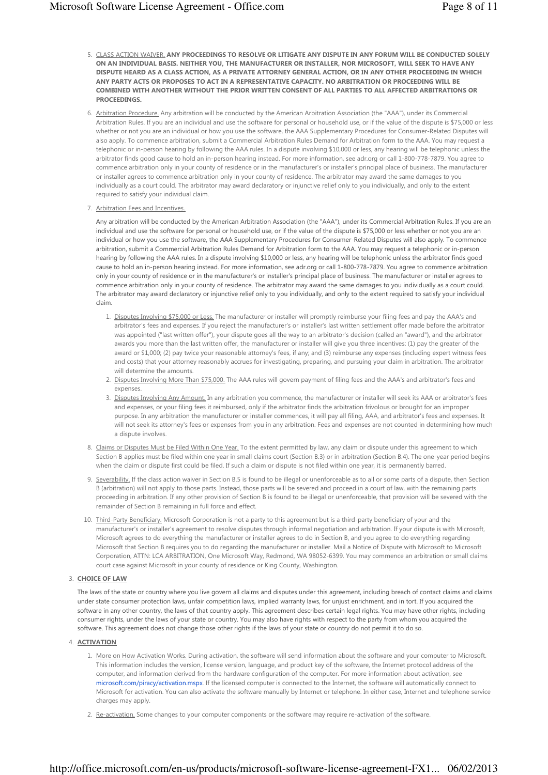- 5. <u>CLASS ACTION WAIVER.</u> ANY PROCEEDINGS TO RESOLVE OR LITIGATE ANY DISPUTE IN ANY FORUM WILL BE CONDUCTED SOLELY ON AN INDIVIDUAL BASIS. NEITHER YOU, THE MANUFACTURER OR INSTALLER, NOR MICROSOFT, WILL SEEK TO HAVE ANY DISPUTE HEARD AS A CLASS ACTION, AS A PRIVATE ATTORNEY GENERAL ACTION, OR IN ANY OTHER PROCEEDING IN WHICH ANY PARTY ACTS OR PROPOSES TO ACT IN A REPRESENTATIVE CAPACITY. NO ARBITRATION OR PROCEEDING WILL BE COMBINED WITH ANOTHER WITHOUT THE PRIOR WRITTEN CONSENT OF ALL PARTIES TO ALL AFFECTED ARBITRATIONS OR PROCEEDINGS.
- 6. Arbitration Procedure. Any arbitration will be conducted by the American Arbitration Association (the "AAA"), under its Commercial Arbitration Rules. If you are an individual and use the software for personal or household use, or if the value of the dispute is \$75,000 or less whether or not you are an individual or how you use the software, the AAA Supplementary Procedures for Consumer-Related Disputes will also apply. To commence arbitration, submit a Commercial Arbitration Rules Demand for Arbitration form to the AAA. You may request a telephonic or in-person hearing by following the AAA rules. In a dispute involving \$10,000 or less, any hearing will be telephonic unless the arbitrator finds good cause to hold an in-person hearing instead. For more information, see adr.org or call 1-800-778-7879. You agree to commence arbitration only in your county of residence or in the manufacturer's or installer's principal place of business. The manufacturer or installer agrees to commence arbitration only in your county of residence. The arbitrator may award the same damages to you individually as a court could. The arbitrator may award declaratory or injunctive relief only to you individually, and only to the extent required to satisfy your individual claim.
- 7. Arbitration Fees and Incentives.

Any arbitration will be conducted by the American Arbitration Association (the "AAA"), under its Commercial Arbitration Rules. If you are an individual and use the software for personal or household use, or if the value of the dispute is \$75,000 or less whether or not you are an individual or how you use the software, the AAA Supplementary Procedures for Consumer-Related Disputes will also apply. To commence arbitration, submit a Commercial Arbitration Rules Demand for Arbitration form to the AAA. You may request a telephonic or in-person hearing by following the AAA rules. In a dispute involving \$10,000 or less, any hearing will be telephonic unless the arbitrator finds good cause to hold an in-person hearing instead. For more information, see adr.org or call 1-800-778-7879. You agree to commence arbitration only in your county of residence or in the manufacturer's or installer's principal place of business. The manufacturer or installer agrees to commence arbitration only in your county of residence. The arbitrator may award the same damages to you individually as a court could. The arbitrator may award declaratory or injunctive relief only to you individually, and only to the extent required to satisfy your individual claim.

- 1. Disputes Involving \$75,000 or Less. The manufacturer or installer will promptly reimburse your filing fees and pay the AAA's and arbitrator's fees and expenses. If you reject the manufacturer's or installer's last written settlement offer made before the arbitrator was appointed ("last written offer"), your dispute goes all the way to an arbitrator's decision (called an "award"), and the arbitrator awards you more than the last written offer, the manufacturer or installer will give you three incentives: (1) pay the greater of the award or \$1,000; (2) pay twice your reasonable attorney's fees, if any; and (3) reimburse any expenses (including expert witness fees and costs) that your attorney reasonably accrues for investigating, preparing, and pursuing your claim in arbitration. The arbitrator will determine the amounts.
- 2. Disputes Involving More Than \$75,000. The AAA rules will govern payment of filing fees and the AAA's and arbitrator's fees and expenses
- 3. Disputes Involving Any Amount. In any arbitration you commence, the manufacturer or installer will seek its AAA or arbitrator's fees and expenses, or your filing fees it reimbursed, only if the arbitrator finds the arbitration frivolous or brought for an improper purpose. In any arbitration the manufacturer or installer commences, it will pay all filing, AAA, and arbitrator's fees and expenses. It will not seek its attorney's fees or expenses from you in any arbitration. Fees and expenses are not counted in determining how much a dispute involves.
- 8. Claims or Disputes Must be Filed Within One Year. To the extent permitted by law, any claim or dispute under this agreement to which Section B applies must be filed within one year in small claims court (Section B.3) or in arbitration (Section B.4). The one-year period begins when the claim or dispute first could be filed. If such a claim or dispute is not filed within one year, it is permanently barred.
- 9. Severability, If the class action waiver in Section B.5 is found to be illegal or unenforceable as to all or some parts of a dispute, then Section B (arbitration) will not apply to those parts. Instead, those parts will be severed and proceed in a court of law, with the remaining parts proceeding in arbitration. If any other provision of Section B is found to be illegal or unenforceable, that provision will be severed with the remainder of Section B remaining in full force and effect.
- 10. Third-Party Beneficiary, Microsoft Corporation is not a party to this agreement but is a third-party beneficiary of your and the manufacturer's or installer's agreement to resolve disputes through informal negotiation and arbitration. If your dispute is with Microsoft, Microsoft agrees to do everything the manufacturer or installer agrees to do in Section B, and you agree to do everything regarding Microsoft that Section B requires you to do regarding the manufacturer or installer. Mail a Notice of Dispute with Microsoft to Microsoft Corporation, ATTN: LCA ARBITRATION, One Microsoft Way, Redmond, WA 98052-6399. You may commence an arbitration or small claims court case against Microsoft in your county of residence or King County, Washington.

#### 3. CHOICE OF LAW

The laws of the state or country where you live govern all claims and disputes under this agreement, including breach of contact claims and claims under state consumer protection laws, unfair competition laws, implied warranty laws, for unjust enrichment, and in tort. If you acquired the software in any other country, the laws of that country apply. This agreement describes certain legal rights. You may have other rights, including consumer rights, under the laws of your state or country. You may also have rights with respect to the party from whom you acquired the software. This agreement does not change those other rights if the laws of your state or country do not permit it to do so.

#### 4. ACTIVATION

- 1. More on How Activation Works. During activation, the software will send information about the software and your computer to Microsoft. This information includes the version, license version, language, and product key of the software, the Internet protocol address of the computer, and information derived from the hardware configuration of the computer. For more information about activation, see microsoft.com/piracy/activation.mspx. If the licensed computer is connected to the Internet, the software will automatically connect to Microsoft for activation. You can also activate the software manually by Internet or telephone. In either case, Internet and telephone service charges may apply.
- 2. Re-activation. Some changes to your computer components or the software may require re-activation of the software.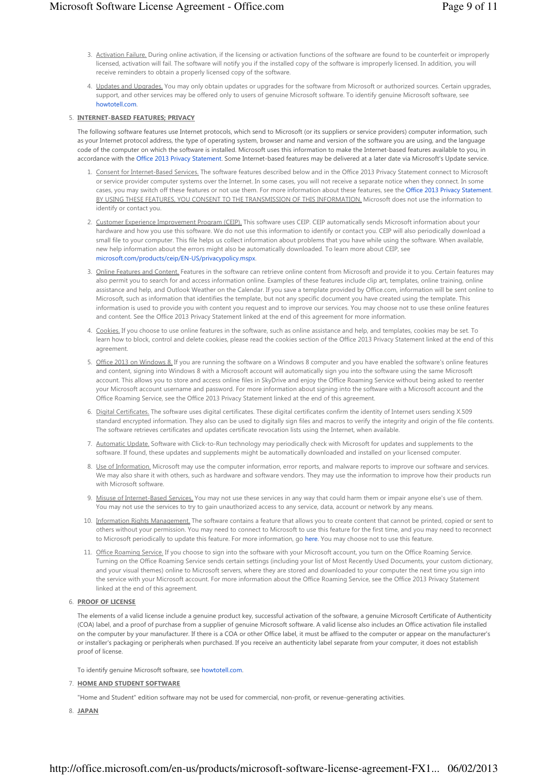- 3. Activation Failure. During online activation, if the licensing or activation functions of the software are found to be counterfeit or improperly licensed, activation will fail. The software will notify you if the installed copy of the software is improperly licensed. In addition, you will receive reminders to obtain a properly licensed copy of the software.
- 4. Updates and Upgrades, You may only obtain updates or upgrades for the software from Microsoft or authorized sources. Certain upgrades, support, and other services may be offered only to users of genuine Microsoft software. To identify genuine Microsoft software, see howtotell.com.

#### 5. INTERNET-BASED FEATURES; PRIVACY

The following software features use Internet protocols, which send to Microsoft (or its suppliers or service providers) computer information, such as your Internet protocol address, the type of operating system, browser and name and version of the software you are using, and the language code of the computer on which the software is installed. Microsoft uses this information to make the Internet-based features available to you, in accordance with the Office 2013 Privacy Statement. Some Internet-based features may be delivered at a later date via Microsoft's Update service.

- 1. Consent for Internet-Based Services. The software features described below and in the Office 2013 Privacy Statement connect to Microsoft or service provider computer systems over the Internet. In some cases, you will not receive a separate notice when they connect. In some cases, you may switch off these features or not use them. For more information about these features, see the Office 2013 Privacy Statement. BY USING THESE FEATURES, YOU CONSENT TO THE TRANSMISSION OF THIS INFORMATION. Microsoft does not use the information to identify or contact you.
- 2. Customer Experience Improvement Program (CEIP). This software uses CEIP. CEIP automatically sends Microsoft information about your hardware and how you use this software. We do not use this information to identify or contact you. CEIP will also periodically download a small file to your computer. This file helps us collect information about problems that you have while using the software. When available, new help information about the errors might also be automatically downloaded. To learn more about CEIP, see microsoft.com/products/ceip/EN-US/privacypolicy.mspx.
- 3. <u>Online Features and Content.</u> Features in the software can retrieve online content from Microsoft and provide it to you. Certain features may also permit you to search for and access information online. Examples of these features include clip art, templates, online training, online assistance and help, and Outlook Weather on the Calendar. If you save a template provided by Office.com, information will be sent online to Microsoft, such as information that identifies the template, but not any specific document you have created using the template. This information is used to provide you with content you request and to improve our services. You may choose not to use these online features and content. See the Office 2013 Privacy Statement linked at the end of this agreement for more information.
- 4. Cookies. If you choose to use online features in the software, such as online assistance and help, and templates, cookies may be set. To learn how to block, control and delete cookies, please read the cookies section of the Office 2013 Privacy Statement linked at the end of this agreement.
- 5. <u>Office 2013 on Windows 8.</u> If you are running the software on a Windows 8 computer and you have enabled the software's online features and content, signing into Windows 8 with a Microsoft account will automatically sign you into the software using the same Microsoft account. This allows you to store and access online files in SkyDrive and enjoy the Office Roaming Service without being asked to reenter your Microsoft account username and password. For more information about signing into the software with a Microsoft account and the Office Roaming Service, see the Office 2013 Privacy Statement linked at the end of this agreement.
- 6. Digital Certificates, The software uses digital certificates. These digital certificates confirm the identity of Internet users sending X.509 standard encrypted information. They also can be used to digitally sign files and macros to verify the integrity and origin of the file contents. The software retrieves certificates and updates certificate revocation lists using the Internet, when available.
- 7. Automatic Update. Software with Click-to-Run technology may periodically check with Microsoft for updates and supplements to the software. If found, these updates and supplements might be automatically downloaded and installed on your licensed computer.
- 8. Use of Information. Microsoft may use the computer information, error reports, and malware reports to improve our software and services. We may also share it with others, such as hardware and software vendors. They may use the information to improve how their products run with Microsoft software.
- 9. Misuse of Internet-Based Services. You may not use these services in any way that could harm them or impair anyone else's use of them. You may not use the services to try to gain unauthorized access to any service, data, account or network by any means.
- 10. Information Rights Management. The software contains a feature that allows you to create content that cannot be printed, copied or sent to others without your permission. You may need to connect to Microsoft to use this feature for the first time, and you may need to reconnect to Microsoft periodically to update this feature. For more information, go here. You may choose not to use this feature.
- 11. Office Roaming Service. If you choose to sign into the software with your Microsoft account, you turn on the Office Roaming Service. Turning on the Office Roaming Service sends certain settings (including your list of Most Recently Used Documents, your custom dictionary, and your visual themes) online to Microsoft servers, where they are stored and downloaded to your computer the next time you sign into the service with your Microsoft account. For more information about the Office Roaming Service, see the Office 2013 Privacy Statement linked at the end of this agreement.

## 6. PROOF OF LICENSE

The elements of a valid license include a genuine product key, successful activation of the software, a genuine Microsoft Certificate of Authenticity (COA) label, and a proof of purchase from a supplier of genuine Microsoft software. A valid license also includes an Office activation file installed on the computer by your manufacturer. If there is a COA or other Office label, it must be affixed to the computer or appear on the manufacturer's or installer's packaging or peripherals when purchased. If you receive an authenticity label separate from your computer, it does not establish proof of license.

To identify genuine Microsoft software, see howtotell.com.

#### 7. HOME AND STUDENT SOFTWARE

"Home and Student" edition software may not be used for commercial, non-profit, or revenue-generating activities.

8. JAPAN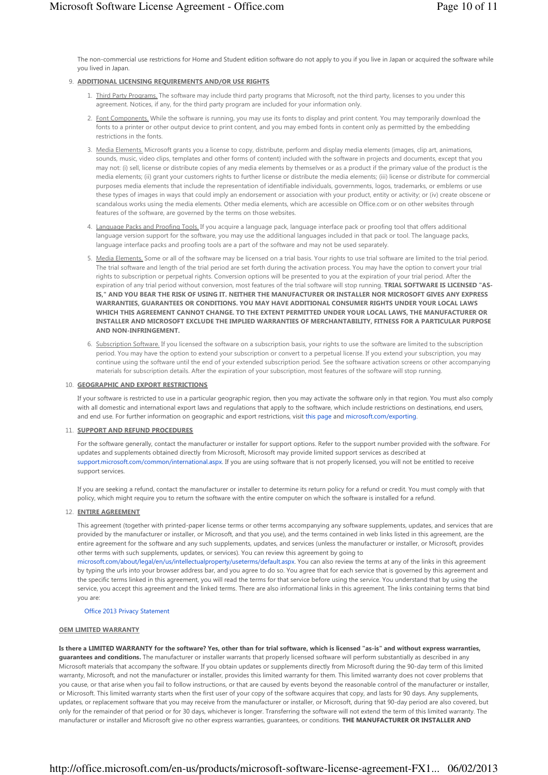The non-commercial use restrictions for Home and Student edition software do not apply to you if you live in Japan or acquired the software while you lived in Japan.

## 9. ADDITIONAL LICENSING REQUIREMENTS AND/OR USE RIGHTS

- 1. Third Party Programs. The software may include third party programs that Microsoft, not the third party, licenses to you under this agreement. Notices, if any, for the third party program are included for your information only.
- 2. Font Components, While the software is running, you may use its fonts to display and print content. You may temporarily download the fonts to a printer or other output device to print content, and you may embed fonts in content only as permitted by the embedding restrictions in the fonts.
- 3. Media Elements, Microsoft grants you a license to copy, distribute, perform and display media elements (images, clip art, animations, sounds, music, video clips, templates and other forms of content) included with the software in projects and documents, except that you may not: (i) sell, license or distribute copies of any media elements by themselves or as a product if the primary value of the product is the media elements; (ii) grant your customers rights to further license or distribute the media elements; (iii) license or distribute for commercial purposes media elements that include the representation of identifiable individuals, governments, logos, trademarks, or emblems or use these types of images in ways that could imply an endorsement or association with your product, entity or activity; or (iv) create obscene or scandalous works using the media elements. Other media elements, which are accessible on Office.com or on other websites through features of the software, are governed by the terms on those websites.
- Language Packs and Proofing Tools. If you acquire a language pack, language interface pack or proofing tool that offers additional language version support for the software, you may use the additional languages included in that pack or tool. The language packs, language interface packs and proofing tools are a part of the software and may not be used separately. 4.
- 5. Media Elements. Some or all of the software may be licensed on a trial basis. Your rights to use trial software are limited to the trial period. The trial software and length of the trial period are set forth during the activation process. You may have the option to convert your trial rights to subscription or perpetual rights. Conversion options will be presented to you at the expiration of your trial period. After the expiration of any trial period without conversion, most features of the trial software will stop running. TRIAL SOFTWARE IS LICENSED "AS-IS," AND YOU BEAR THE RISK OF USING IT. NEITHER THE MANUFACTURER OR INSTALLER NOR MICROSOFT GIVES ANY EXPRESS WARRANTIES, GUARANTEES OR CONDITIONS. YOU MAY HAVE ADDITIONAL CONSUMER RIGHTS UNDER YOUR LOCAL LAWS WHICH THIS AGREEMENT CANNOT CHANGE. TO THE EXTENT PERMITTED UNDER YOUR LOCAL LAWS, THE MANUFACTURER OR INSTALLER AND MICROSOFT EXCLUDE THE IMPLIED WARRANTIES OF MERCHANTABILITY, FITNESS FOR A PARTICULAR PURPOSE AND NON-INFRINGEMENT.
- 6. Subscription Software. If you licensed the software on a subscription basis, your rights to use the software are limited to the subscription period. You may have the option to extend your subscription or convert to a perpetual license. If you extend your subscription, you may continue using the software until the end of your extended subscription period. See the software activation screens or other accompanying materials for subscription details. After the expiration of your subscription, most features of the software will stop running.

## 10. GEOGRAPHIC AND EXPORT RESTRICTIONS

If your software is restricted to use in a particular geographic region, then you may activate the software only in that region. You must also comply with all domestic and international export laws and regulations that apply to the software, which include restrictions on destinations, end users, and end use. For further information on geographic and export restrictions, visit this page and microsoft.com/exporting.

# 11. SUPPORT AND REFUND PROCEDURES

For the software generally, contact the manufacturer or installer for support options. Refer to the support number provided with the software. For updates and supplements obtained directly from Microsoft, Microsoft may provide limited support services as described at support.microsoft.com/common/international.aspx. If you are using software that is not properly licensed, you will not be entitled to receive support services.

If you are seeking a refund, contact the manufacturer or installer to determine its return policy for a refund or credit. You must comply with that policy, which might require you to return the software with the entire computer on which the software is installed for a refund.

# 12. ENTIRE AGREEMENT

This agreement (together with printed-paper license terms or other terms accompanying any software supplements, updates, and services that are provided by the manufacturer or installer, or Microsoft, and that you use), and the terms contained in web links listed in this agreement, are the entire agreement for the software and any such supplements, updates, and services (unless the manufacturer or installer, or Microsoft, provides other terms with such supplements, updates, or services). You can review this agreement by going to

microsoft.com/about/legal/en/us/intellectualproperty/useterms/default.aspx. You can also review the terms at any of the links in this agreement by typing the urls into your browser address bar, and you agree to do so. You agree that for each service that is governed by this agreement and the specific terms linked in this agreement, you will read the terms for that service before using the service. You understand that by using the service, you accept this agreement and the linked terms. There are also informational links in this agreement. The links containing terms that bind you are:

# Office 2013 Privacy Statement

# OEM LIMITED WARRANTY

Is there a LIMITED WARRANTY for the software? Yes, other than for trial software, which is licensed "as-is" and without express warranties, guarantees and conditions. The manufacturer or installer warrants that properly licensed software will perform substantially as described in any Microsoft materials that accompany the software. If you obtain updates or supplements directly from Microsoft during the 90-day term of this limited warranty, Microsoft, and not the manufacturer or installer, provides this limited warranty for them. This limited warranty does not cover problems that you cause, or that arise when you fail to follow instructions, or that are caused by events beyond the reasonable control of the manufacturer or installer, or Microsoft. This limited warranty starts when the first user of your copy of the software acquires that copy, and lasts for 90 days. Any supplements, updates, or replacement software that you may receive from the manufacturer or installer, or Microsoft, during that 90-day period are also covered, but only for the remainder of that period or for 30 days, whichever is longer. Transferring the software will not extend the term of this limited warranty. The manufacturer or installer and Microsoft give no other express warranties, quarantees, or conditions. THE MANUFACTURER OR INSTALLER AND